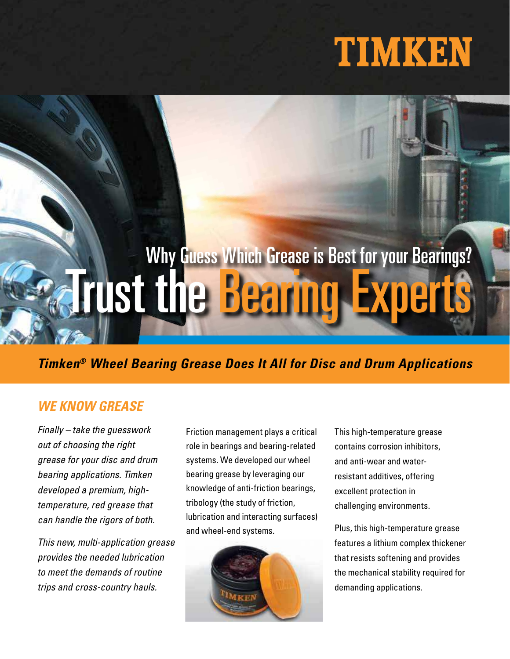## TIMKEN

# Why Guess Which Grease is Best for your Bearings? **Trust the Bearin**

### **Timken® Wheel Bearing Grease Does It All for Disc and Drum Applications**

#### **WE KNOW GREASE**

Finally – take the guesswork out of choosing the right grease for your disc and drum bearing applications. Timken developed a premium, hightemperature, red grease that can handle the rigors of both.

This new, multi-application grease provides the needed lubrication to meet the demands of routine trips and cross-country hauls.

Friction management plays a critical role in bearings and bearing-related systems. We developed our wheel bearing grease by leveraging our knowledge of anti-friction bearings, tribology (the study of friction, lubrication and interacting surfaces) and wheel-end systems.



This high-temperature grease contains corrosion inhibitors, and anti-wear and waterresistant additives, offering excellent protection in challenging environments.

Plus, this high-temperature grease features a lithium complex thickener that resists softening and provides the mechanical stability required for demanding applications.